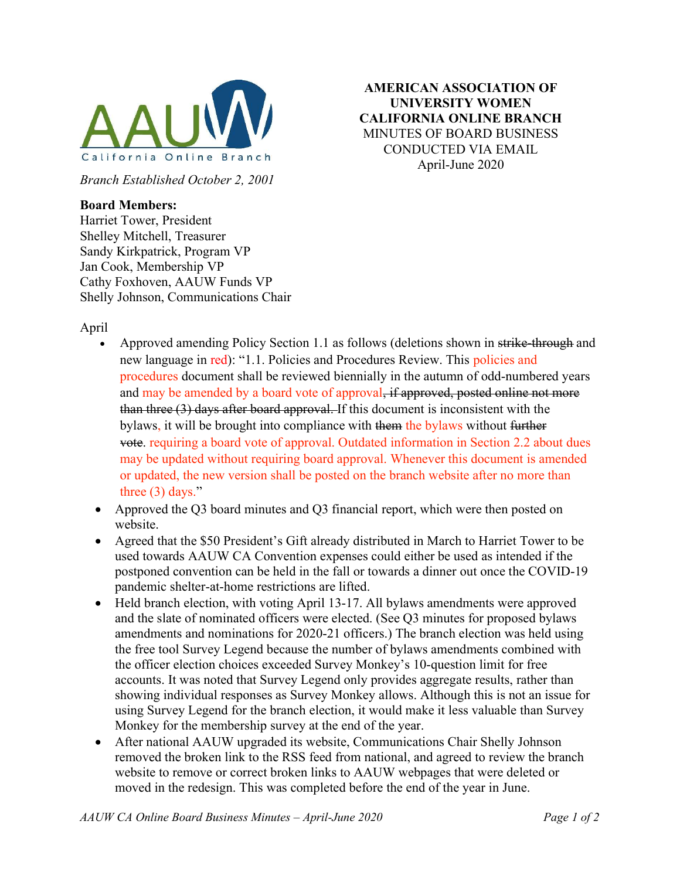

Branch Established October 2, 2001

## Board Members:

Harriet Tower, President Shelley Mitchell, Treasurer Sandy Kirkpatrick, Program VP Jan Cook, Membership VP Cathy Foxhoven, AAUW Funds VP Shelly Johnson, Communications Chair

April

Approved amending Policy Section 1.1 as follows (deletions shown in strike-through and new language in red): "1.1. Policies and Procedures Review. This policies and procedures document shall be reviewed biennially in the autumn of odd-numbered years and may be amended by a board vote of approval, if approved, posted online not more than three (3) days after board approval. If this document is inconsistent with the bylaws, it will be brought into compliance with them the bylaws without further vote. requiring a board vote of approval. Outdated information in Section 2.2 about dues may be updated without requiring board approval. Whenever this document is amended or updated, the new version shall be posted on the branch website after no more than three  $(3)$  days."

AMERICAN ASSOCIATION OF UNIVERSITY WOMEN CALIFORNIA ONLINE BRANCH MINUTES OF BOARD BUSINESS CONDUCTED VIA EMAIL April-June 2020

- Approved the Q3 board minutes and Q3 financial report, which were then posted on website.
- Agreed that the \$50 President's Gift already distributed in March to Harriet Tower to be used towards AAUW CA Convention expenses could either be used as intended if the postponed convention can be held in the fall or towards a dinner out once the COVID-19 pandemic shelter-at-home restrictions are lifted.
- Held branch election, with voting April 13-17. All bylaws amendments were approved and the slate of nominated officers were elected. (See Q3 minutes for proposed bylaws amendments and nominations for 2020-21 officers.) The branch election was held using the free tool Survey Legend because the number of bylaws amendments combined with the officer election choices exceeded Survey Monkey's 10-question limit for free accounts. It was noted that Survey Legend only provides aggregate results, rather than showing individual responses as Survey Monkey allows. Although this is not an issue for using Survey Legend for the branch election, it would make it less valuable than Survey Monkey for the membership survey at the end of the year.
- After national AAUW upgraded its website, Communications Chair Shelly Johnson removed the broken link to the RSS feed from national, and agreed to review the branch website to remove or correct broken links to AAUW webpages that were deleted or moved in the redesign. This was completed before the end of the year in June.